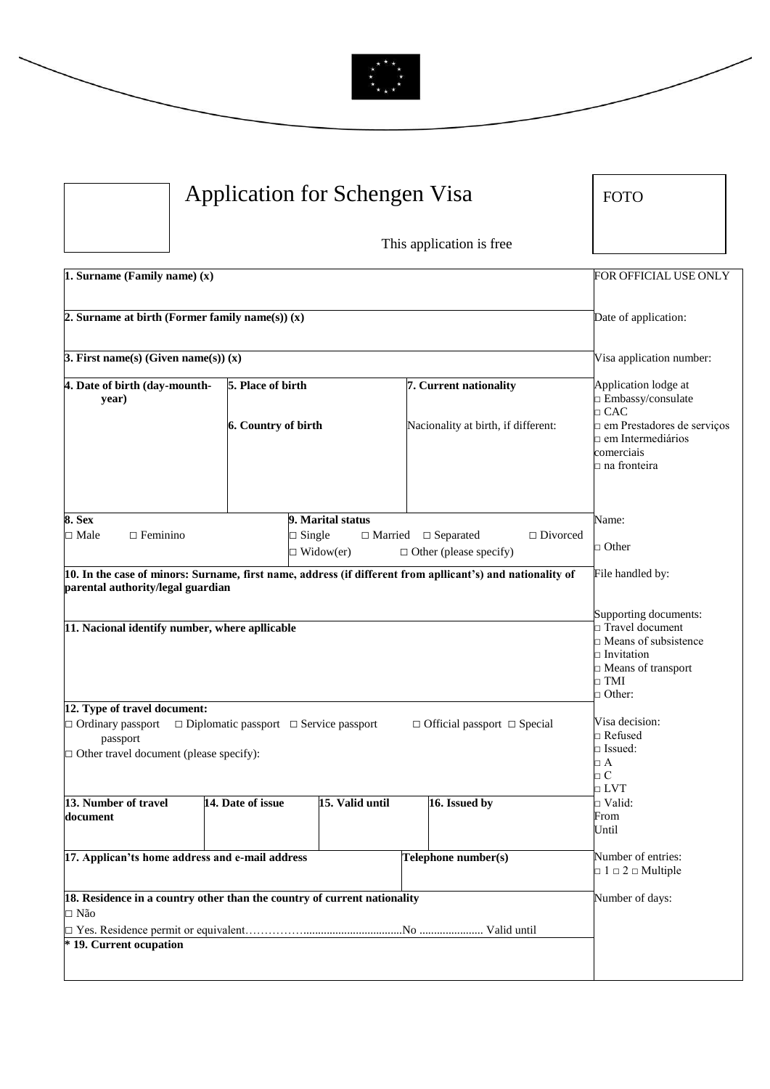

| Application for Schengen Visa                                                                                     |                                                        | <b>FOTO</b>                                                                                                |                                                                                                                                                     |
|-------------------------------------------------------------------------------------------------------------------|--------------------------------------------------------|------------------------------------------------------------------------------------------------------------|-----------------------------------------------------------------------------------------------------------------------------------------------------|
|                                                                                                                   |                                                        | This application is free                                                                                   |                                                                                                                                                     |
| 1. Surname (Family name) (x)                                                                                      |                                                        |                                                                                                            | FOR OFFICIAL USE ONLY                                                                                                                               |
| 2. Surname at birth (Former family name(s)) $(x)$                                                                 |                                                        |                                                                                                            | Date of application:                                                                                                                                |
| 3. First name(s) (Given name(s)) $(x)$                                                                            |                                                        |                                                                                                            | Visa application number:                                                                                                                            |
| 4. Date of birth (day-mounth-<br>year)                                                                            | 5. Place of birth                                      | 7. Current nationality                                                                                     | Application lodge at<br>□ Embassy/consulate                                                                                                         |
|                                                                                                                   | 6. Country of birth                                    | Nacionality at birth, if different:                                                                        | $\Box$ CAC<br>n em Prestadores de serviços<br>n em Intermediários<br>comerciais<br>□ na fronteira                                                   |
| 8. Sex<br>$\square$ Male<br>$\Box$ Feminino                                                                       | 9. Marital status<br>$\Box$ Single<br>$\Box$ Widow(er) | $\hfill\Box$ Married<br>$\Box$ Separated<br>$\Box$ Divorced<br>$\Box$ Other (please specify)               | Name:<br>$\Box$ Other                                                                                                                               |
| parental authority/legal guardian                                                                                 |                                                        | 10. In the case of minors: Surname, first name, address (if different from apllicant's) and nationality of | File handled by:                                                                                                                                    |
| 11. Nacional identify number, where apllicable                                                                    |                                                        |                                                                                                            | Supporting documents:<br>□ Travel document<br>$\Box$ Means of subsistence<br>$\Box$ Invitation<br>Means of transport<br>$\Box$ TMI<br>$\Box$ Other: |
| 12. Type of travel document:<br>□ Ordinary passport<br>passport<br>$\Box$ Other travel document (please specify): | $\Box$ Diplomatic passport $\Box$ Service passport     | $\Box$ Official passport $\Box$ Special                                                                    | Visa decision:<br>□ Refused<br>$\square$ Issued:<br>$\Box$ A<br>$\Box$ C                                                                            |
| 13. Number of travel<br>document                                                                                  | 14. Date of issue                                      | 15. Valid until<br>16. Issued by                                                                           | $\Box$ LVT<br>$\Box$ Valid:<br>From<br>Until                                                                                                        |
| 17. Applican'ts home address and e-mail address                                                                   |                                                        | Telephone number(s)                                                                                        | Number of entries:<br>$\Box$ 1 $\Box$ 2 $\Box$ Multiple                                                                                             |
| 18. Residence in a country other than the country of current nationality<br>□ Não                                 |                                                        |                                                                                                            | Number of days:                                                                                                                                     |
| * 19. Current ocupation                                                                                           |                                                        |                                                                                                            |                                                                                                                                                     |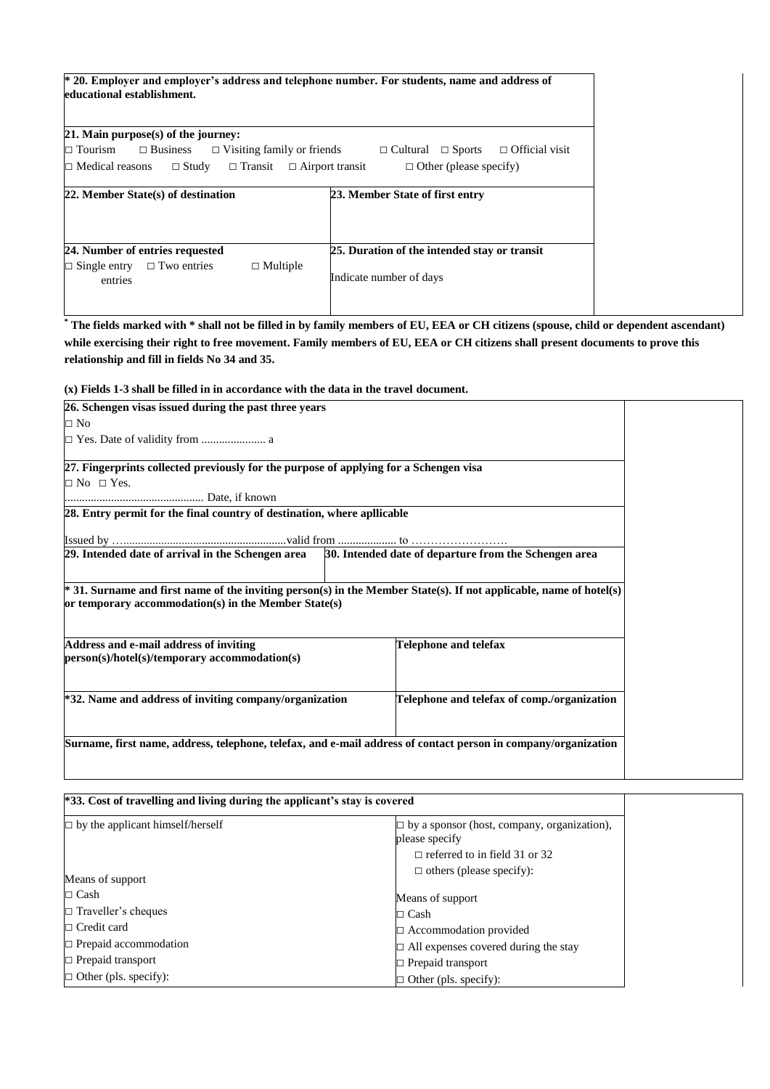| * 20. Employer and employer's address and telephone number. For students, name and address of |  |
|-----------------------------------------------------------------------------------------------|--|
| educational establishment.                                                                    |  |

| 21. Main purpose(s) of the journey:                                             |                                                        |
|---------------------------------------------------------------------------------|--------------------------------------------------------|
| $\Box$ Business $\Box$ Visiting family or friends<br>$\Box$ Tourism             | $\Box$ Official visit<br>$\Box$ Cultural $\Box$ Sports |
| $\Box$ Study<br>$\Box$ Medical reasons<br>$\Box$ Transit $\Box$ Airport transit | $\Box$ Other (please specify)                          |
|                                                                                 |                                                        |
| 22. Member State(s) of destination                                              | 23. Member State of first entry                        |
|                                                                                 |                                                        |
|                                                                                 |                                                        |
| 24. Number of entries requested                                                 | 25. Duration of the intended stay or transit           |
| $\Box$ Multiple<br>$\Box$ Single entry $\Box$ Two entries                       |                                                        |
| entries                                                                         | Indicate number of days                                |
|                                                                                 |                                                        |

**\* The fields marked with \* shall not be filled in by family members of EU, EEA or CH citizens (spouse, child or dependent ascendant) while exercising their right to free movement. Family members of EU, EEA or CH citizens shall present documents to prove this relationship and fill in fields No 34 and 35.**

**(x) Fields 1-3 shall be filled in in accordance with the data in the travel document.**

| 26. Schengen visas issued during the past three years                                                                                                                      |                                                       |  |
|----------------------------------------------------------------------------------------------------------------------------------------------------------------------------|-------------------------------------------------------|--|
| $\Box$ No                                                                                                                                                                  |                                                       |  |
|                                                                                                                                                                            |                                                       |  |
| 27. Fingerprints collected previously for the purpose of applying for a Schengen visa                                                                                      |                                                       |  |
| $\Box$ No $\Box$ Yes.                                                                                                                                                      |                                                       |  |
|                                                                                                                                                                            |                                                       |  |
| 28. Entry permit for the final country of destination, where apllicable                                                                                                    |                                                       |  |
|                                                                                                                                                                            |                                                       |  |
|                                                                                                                                                                            | 30. Intended date of departure from the Schengen area |  |
| * 31. Surname and first name of the inviting person(s) in the Member State(s). If not applicable, name of hotel(s)<br>or temporary accommodation(s) in the Member State(s) |                                                       |  |
| Address and e-mail address of inviting<br>person(s)/hotel(s)/temporary accommodation(s)                                                                                    | Telephone and telefax                                 |  |
| *32. Name and address of inviting company/organization                                                                                                                     | Telephone and telefax of comp./organization           |  |
| Surname, first name, address, telephone, telefax, and e-mail address of contact person in company/organization                                                             |                                                       |  |

| <sup>*</sup> 33. Cost of travelling and living during the applicant's stay is covered |                                                                         |
|---------------------------------------------------------------------------------------|-------------------------------------------------------------------------|
| $\Box$ by the applicant himself/herself                                               | $\exists$ by a sponsor (host, company, organization),<br>please specify |
|                                                                                       | $\Box$ referred to in field 31 or 32                                    |
| Means of support                                                                      | $\Box$ others (please specify):                                         |
| $\Box$ Cash                                                                           | Means of support                                                        |
| $\Box$ Traveller's cheques                                                            | $\sqsupset$ Cash                                                        |
| $\Box$ Credit card                                                                    | □ Accommodation provided                                                |
| $\Box$ Prepaid accommodation                                                          | $\exists$ All expenses covered during the stay                          |
| $\Box$ Prepaid transport                                                              | $\Box$ Prepaid transport                                                |
| $\Box$ Other (pls. specify):                                                          | Other (pls. specify):                                                   |